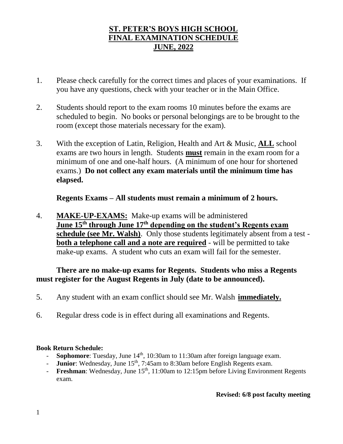# **ST. PETER'S BOYS HIGH SCHOOL FINAL EXAMINATION SCHEDULE JUNE, 2022**

- 1. Please check carefully for the correct times and places of your examinations. If you have any questions, check with your teacher or in the Main Office.
- 2. Students should report to the exam rooms 10 minutes before the exams are scheduled to begin. No books or personal belongings are to be brought to the room (except those materials necessary for the exam).
- 3. With the exception of Latin, Religion, Health and Art & Music, **ALL** school exams are two hours in length. Students **must** remain in the exam room for a minimum of one and one-half hours. (A minimum of one hour for shortened exams.) **Do not collect any exam materials until the minimum time has elapsed.**

**Regents Exams – All students must remain a minimum of 2 hours.**

4. **MAKE-UP-EXAMS:** Make-up exams will be administered **June 15th through June 17th depending on the student's Regents exam schedule (see Mr. Walsh)**. Only those students legitimately absent from a test **both a telephone call and a note are required** - will be permitted to take make-up exams. A student who cuts an exam will fail for the semester.

# **There are no make-up exams for Regents. Students who miss a Regents must register for the August Regents in July (date to be announced).**

- 5. Any student with an exam conflict should see Mr. Walsh **immediately.**
- 6. Regular dress code is in effect during all examinations and Regents.

# **Book Return Schedule:**

- **Sophomore**: Tuesday, June 14<sup>th</sup>, 10:30am to 11:30am after foreign language exam.
- **Junior**: Wednesday, June 15<sup>th</sup>, 7:45am to 8:30am before English Regents exam.
- **Freshman**: Wednesday, June 15<sup>th</sup>, 11:00am to 12:15pm before Living Environment Regents exam.

## **Revised: 6/8 post faculty meeting**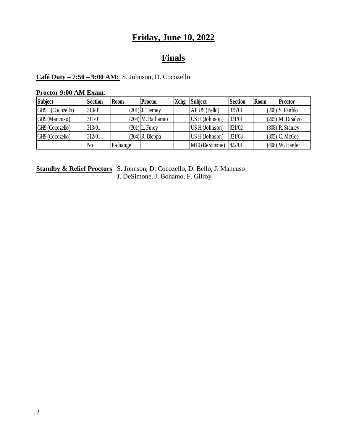# **Friday, June 10, 2022**

# **Finals**

## **Café Duty – 7:50 – 9:00 AM:** S. Johnson, D. Cocozello

#### **Proctor 9:00 AM Exam**:

| <b>Subject</b>   | Section        | <b>Room</b> | <b>Proctor</b>       | <b>Xchg</b> | <b>Subject</b> | <b>Section</b> | <b>Room</b> | <b>Proctor</b>     |
|------------------|----------------|-------------|----------------------|-------------|----------------|----------------|-------------|--------------------|
| GH9H (Cocozello) | 310/01         |             | $(201)$ J. Tierney   |             | AP US (Bello)  | 335/01         |             | $(208)$ S. Panfilo |
| GH9 (Mancuso)    | 311/01         |             | $(204)$ M. Barbarino |             | US H (Johnson) | 331/01         |             | $(205)$ M. DiSalvo |
| GH9 (Cocozello)  | 313/01         |             | $(301)$ L. Furey     |             | US H (Johnson) | 331/02         |             | $(308)$ R. Stanley |
| GH9 (Cocozello)  | 312/01         |             | $(304)$ R. Dieppa    |             | US H (Johnson) | 331/03         |             | $(305)$ C. McGee   |
|                  | N <sub>0</sub> | Exchange    |                      |             | M10 (DeSimone) | 422/01         |             | $(408)$ W. Harder  |

**Standby & Relief Proctors** S. Johnson, D. Cocozello, D. Bello, J. Mancuso J. DeSimone, J. Bonamo, F. Gilroy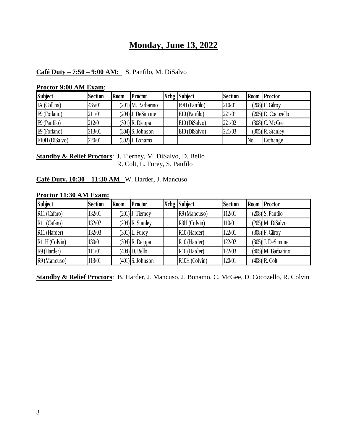# **Monday, June 13, 2022**

## **Café Duty – 7:50 – 9:00 AM:** S. Panfilo, M. DiSalvo

| <b>Subject</b> | <b>Section</b> | <b>Room</b> | <b>Proctor</b>        | Xchg Subject  | <b>Section</b> |                | Room Proctor         |
|----------------|----------------|-------------|-----------------------|---------------|----------------|----------------|----------------------|
| IA (Collins)   | 435/01         |             | $(201)$ M. Barbarino  | E9H (Panfilo) | 210/01         |                | $(208)$ F. Gilroy    |
| E9 (Forlano)   | 211/01         |             | $(204)$ ] J. DeSimone | E10 (Panfilo) | 221/01         |                | $(205)$ D. Cocozello |
| $E9$ (Panfilo) | 212/01         |             | $(301)$ R. Dieppa     | E10 (DiSalvo) | 221/02         |                | $(308)$ C. McGee     |
| $E9$ (Forlano) | 213/01         |             | $(304)$ S. Johnson    | E10 (DiSalvo) | 221/03         |                | $(305)$ R. Stanley   |
| E10H (DiSalvo) | 220/01         |             | (302) J. Bonamo       |               |                | N <sub>0</sub> | Exchange             |

#### **Proctor 9:00 AM Exam**:

**Standby & Relief Proctors**: J. Tierney, M. DiSalvo, D. Bello R. Colt, L. Furey, S. Panfilo

### **Café Duty. 10:30 – 11:30 AM** W. Harder, J. Mancuso

#### **Proctor 11:30 AM Exam:**

| <b>Subject</b>           | <b>Section</b> | <b>Room</b> | Proctor            | Xchg Subject               | <b>Section</b> | Room | Proctor              |
|--------------------------|----------------|-------------|--------------------|----------------------------|----------------|------|----------------------|
| R <sub>11</sub> (Cafaro) | 132/01         |             | $(201)$ J. Tierney | $R9$ (Mancuso)             | 112/01         |      | $(208)$ S. Panfilo   |
| R <sub>11</sub> (Cafaro) | 132/02         |             | $(204)$ R. Stanley | R9H (Colvin)               | 110/01         |      | $(205)$ M. DiSalvo   |
| R <sub>11</sub> (Harder) | 132/03         |             | $(301)$ L. Furey   | R <sub>10</sub> (Harder)   | 122/01         |      | $(308)$ F. Gilroy    |
| $R11H$ (Colvin)          | 130/01         |             | $(304)$ R. Deippa  | R <sub>10</sub> (Harder)   | 122/02         |      | $(305)$ J. DeSimone  |
| R9 (Harder)              | 11/01          |             | $(404)$ D. Bello   | R <sub>10</sub> (Harder)   | 122/03         |      | $(405)$ M. Barbarino |
| $R9$ (Mancuso)           | 13/01          |             | $(401)$ S. Johnson | R <sub>10</sub> H (Colvin) | 120/01         |      | $(408)$ R. Colt      |

**Standby & Relief Proctors**: B. Harder, J. Mancuso, J. Bonamo, C. McGee, D. Cocozello, R. Colvin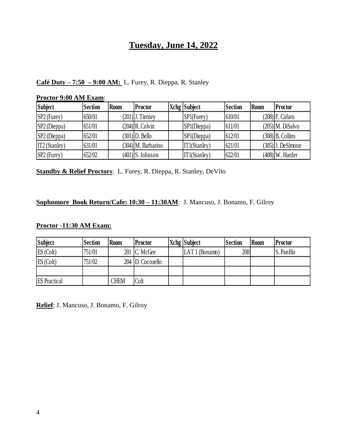# **Tuesday, June 14, 2022**

## **Café Duty – 7:50 – 9:00 AM:** L. Furey, R. Dieppa, R. Stanley

#### **Proctor 9:00 AM Exam**:

| <b>Subject</b>  | <b>Section</b> | Room | <b>Proctor</b>       | Xchg Subject | Section | <b>Room</b> | Proctor             |
|-----------------|----------------|------|----------------------|--------------|---------|-------------|---------------------|
| $SP2$ (Furey)   | 650/01         |      | $(201)$ ]. Tierney   | SP1(Furey)   | 610/01  |             | $(208)$ F. Cafaro   |
| $SP2$ (Dieppa)  | 651/01         |      | $(204)$ R. Colvin    | SP1(Dieppa)  | 611/01  |             | $(205)$ M. DiSalvo  |
| SP2 (Dieppa)    | 652/01         |      | $(301)$ D. Bello     | SP1(Dieppa)  | 612/01  |             | $(308)$ B. Collins  |
| $IT2$ (Stanley) | 631/01         |      | $(304)$ M. Barbarino | IT1(Stanley) | 621/01  |             | $(305)$ ]. DeSimone |
| $SP2$ (Furey)   | 652/02         |      | $(401)$ S. Johnson   | IT1(Stanley) | 622/01  |             | $(408)$ W. Harder   |

**Standby & Relief Proctors**: L. Furey, R. Dieppa, R. Stanley, DeVito

## **Sophomore Book Return/Cafe: 10:30 – 11:30AM**: J. Mancuso, J. Bonamo, F. Gilroy

#### **Proctor -11:30 AM Exam:**

| <b>Subject</b>      | <b>Section</b> | Room        | Proctor          | Xchg Subject | Section | Room | Proctor    |
|---------------------|----------------|-------------|------------------|--------------|---------|------|------------|
| ES (Colt)           | 751/01         |             | $201$ C. McGee   | LAT1(Bonamo) | 208     |      | S. Panfilo |
| ES (Colt)           | 751/02         |             | 204 D. Cocozello |              |         |      |            |
|                     |                |             |                  |              |         |      |            |
| <b>ES</b> Practical |                | <b>CHEM</b> | Colt             |              |         |      |            |

**Relief**: J. Mancuso, J. Bonamo, F. Gilroy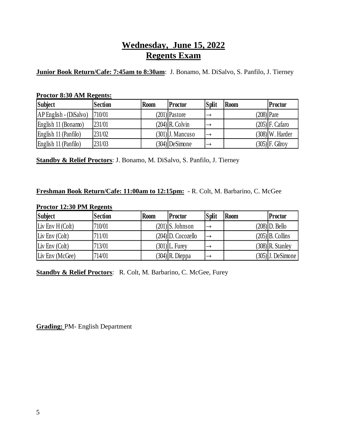# **Wednesday, June 15, 2022 Regents Exam**

**Junior Book Return/Cafe: 7:45am to 8:30am**: J. Bonamo, M. DiSalvo, S. Panfilo, J. Tierney

#### **Proctor 8:30 AM Regents:**

| <b>Subject</b>           | <b>Section</b> | <b>Room</b> | Proctor            | <b>Split</b>  | <b>Room</b> | <b>Proctor</b>    |
|--------------------------|----------------|-------------|--------------------|---------------|-------------|-------------------|
| $AP$ English - (DiSalvo) | 710/01         |             | $(201)$  Pastore   |               |             | $(208)$ Pare      |
| English 11 (Bonamo)      | 231/01         |             | $(204)$ R. Colvin  |               |             | $(205)$ F. Cafaro |
| English 11 (Panfilo)     | 231/02         |             | $(301)$ ]. Mancuso | $\rightarrow$ |             | $(308)$ W. Harder |
| English 11 (Panfilo)     | 231/03         |             | $(304)$ DeSimone   | $\rightarrow$ |             | $(305)$ F. Gilroy |

**Standby & Relief Proctors**: J. Bonamo, M. DiSalvo, S. Panfilo, J. Tierney

#### **Freshman Book Return/Cafe: 11:00am to 12:15pm:** - R. Colt, M. Barbarino, C. McGee

#### **Proctor 12:30 PM Regents**

| <b>Subject</b>     | <b>Section</b> | <b>Room</b> | <b>Proctor</b>     | <b>Split</b> | <b>Room</b> | Proctor               |
|--------------------|----------------|-------------|--------------------|--------------|-------------|-----------------------|
| Liv Env $H$ (Colt) | 710/01         |             | $(201)$ S. Johnson |              |             | $(208)$ D. Bello      |
| Liv Env $(Colt)$   | 711/01         |             | (204) D. Cocozello |              |             | $(205)$ B. Collins    |
| Liv Env $(Colt)$   | 713/01         |             | $(301)$ L. Furey   |              |             | $(308)$ R. Stanley    |
| Liv Env (McGee)    | 714/01         |             | $(304)$ R. Dieppa  |              |             | $(305)$ ] J. DeSimone |

**Standby & Relief Proctors**: R. Colt, M. Barbarino, C. McGee, Furey

**Grading:** PM- English Department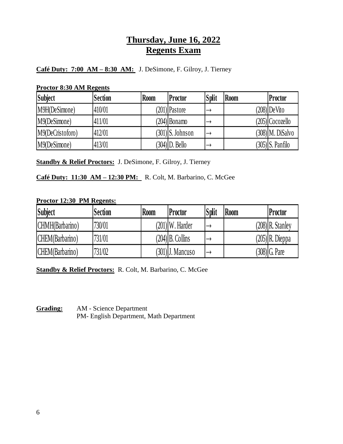# **Thursday, June 16, 2022 Regents Exam**

# **Café Duty: 7:00 AM – 8:30 AM:** J. DeSimone, F. Gilroy, J. Tierney

#### **Proctor 8:30 AM Regents**

| <b>Subject</b>   | <b>Section</b> | <b>Room</b> | Proctor            | <b>Split</b>  | <b>Room</b> | <b>Proctor</b>     |
|------------------|----------------|-------------|--------------------|---------------|-------------|--------------------|
| M9H(DeSimone)    | 410/01         |             | $(201)$ Pastore    |               |             | $(208)$ De Vito    |
| M9(DeSimone)     | 411/01         |             | $(204)$ Bonamo     |               |             | $(205)$  Cocozello |
| M9(DeCristoforo) | 412/01         |             | $(301)$ S. Johnson | $\rightarrow$ |             | $(308)$ M. DiSalvo |
| M9(DeSimone)     | 413/01         |             | (304) D. Bello     |               |             | $(305)$ S. Panfilo |

**Standby & Relief Proctors:** J. DeSimone, F. Gilroy, J. Tierney

## **Café Duty: 11:30 AM – 12:30 PM:** R. Colt, M. Barbarino, C. McGee

### **Proctor 12:30 PM Regents:**

| Subject         | <b>Section</b> | <b>Room</b> | Proctor            | <b>Split</b> | <b>Room</b> | Proctor            |
|-----------------|----------------|-------------|--------------------|--------------|-------------|--------------------|
| CHMH(Barbarino) | 730/01         |             | $(201)$ W. Harder  |              |             | $(208)$ R. Stanley |
| CHEM(Barbarino) | 731/01         |             | $(204)$ B. Collins |              |             | $(205)$ R. Dieppa  |
| CHEM(Barbarino) | 731/02         |             | (301) J. Mancuso   |              |             | $(308)$ G. Pare    |

**Standby & Relief Proctors:** R. Colt, M. Barbarino, C. McGee

### **Grading:** AM - Science Department PM- English Department, Math Department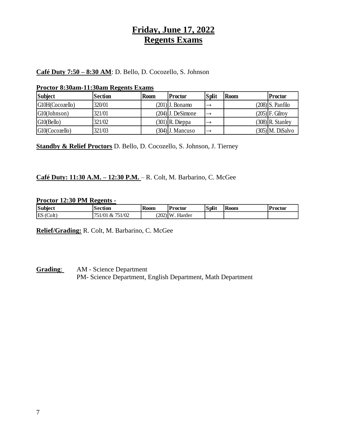# **Friday, June 17, 2022 Regents Exams**

# **Café Duty 7:50 – 8:30 AM**: D. Bello, D. Cocozello, S. Johnson

#### **Proctor 8:30am-11:30am Regents Exams**

| <b>Subject</b>  | Section | <b>Room</b> | Proctor             | <b>Split</b> | <b>Room</b> | <b>Proctor</b>     |
|-----------------|---------|-------------|---------------------|--------------|-------------|--------------------|
| G10H(Cocozello) | 320/01  |             | $(201)$ ]. Bonamo   |              |             | $(208)$ S. Panfilo |
| G10(Johnson)    | 321/01  |             | $(204)$ J. DeSimone |              |             | $(205)$ F. Gilroy  |
| G10(Bello)      | 321/02  |             | $(301)$ R. Dieppa   |              |             | $(308)$ R. Stanley |
| G10(Cocozello)  | 321/03  |             | (304) J. Mancuso    |              |             | $(305)$ M. DiSalvo |

**Standby & Relief Proctors** D. Bello, D. Cocozello, S. Johnson, J. Tierney

### **Café Duty: 11:30 A.M. – 12:30 P.M.** – R. Colt, M. Barbarino, C. McGee

#### **Proctor 12:30 PM Regents -**

| Subject     | 'ection                                     | <b>Room</b> | <b>Proctor</b> | <b>Split</b> | <b>Koom</b> | Proctor |
|-------------|---------------------------------------------|-------------|----------------|--------------|-------------|---------|
| ES<br>Colt) | 751/02<br>$\cdot$ /0.1<br>$X_{\mathcal{T}}$ | (202)       | ιv<br>larder   |              |             |         |

**Relief/Grading:** R. Colt, M. Barbarino, C. McGee

**Grading**: AM - Science Department PM- Science Department, English Department, Math Department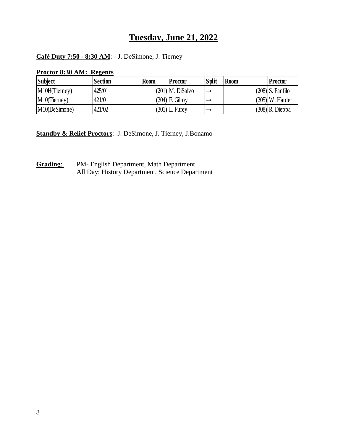# **Tuesday, June 21, 2022**

## **Café Duty 7:50 - 8:30 AM**: - J. DeSimone, J. Tierney

| THUCHUI 0.30 AIVI, REECHIS |                |             |                   |              |             |                    |
|----------------------------|----------------|-------------|-------------------|--------------|-------------|--------------------|
| <b>Subject</b>             | <b>Section</b> | <b>Room</b> | Proctor           | <b>Split</b> | <b>Room</b> | <b>Proctor</b>     |
| M10H(Tierney)              | 425/01         |             | (201) M. DiSalvo  |              |             | $(208)$ S. Panfilo |
| M10(Tierney)               | 421/01         |             | $(204)$ F. Gilrov |              |             | $(205)$ W. Harder  |
| M10(DeSimone)              | 421/02         |             | $(301)$ L. Furey  |              |             | $(308)$ R. Dieppa  |

**Proctor 8:30 AM: Regents**

**Standby & Relief Proctors**: J. DeSimone, J. Tierney, J.Bonamo

**Grading**: PM- English Department, Math Department All Day: History Department, Science Department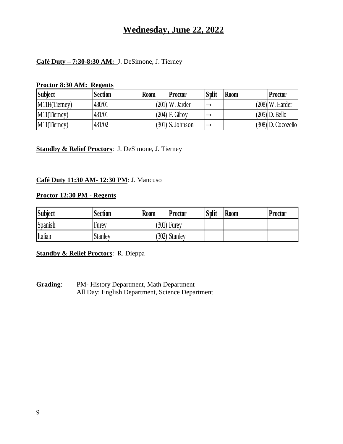# **Wednesday, June 22, 2022**

### **Café Duty – 7:30-8:30 AM:** J. DeSimone, J. Tierney

#### **Proctor 8:30 AM: Regents**

| <b>Subject</b>  | <b>Section</b> | <b>Room</b> | <b>Proctor</b>     | <b>Split</b> | Room | Proctor              |
|-----------------|----------------|-------------|--------------------|--------------|------|----------------------|
| M11H(Tierney)   | 430/01         |             | $(201)$ W. Jarder  |              |      | $(208)$ W. Harder    |
| $M11$ (Tierney) | 431/01         |             | (204) F. Gilrov    |              |      | $(205)$ D. Bello     |
| $M11$ (Tierney) | 431/02         |             | $(301)$ S. Johnson |              |      | $(308)$ D. Cocozello |

## **Standby & Relief Proctors**: J. DeSimone, J. Tierney

## **Café Duty 11:30 AM- 12:30 PM**: J. Mancuso

### **Proctor 12:30 PM - Regents**

| <b>Subject</b> | <b>Section</b> | <b>Room</b> | <b>Proctor</b>  | Split | <b>Room</b> | <b>Proctor</b> |
|----------------|----------------|-------------|-----------------|-------|-------------|----------------|
| Spanish        | Furey          |             | $(301)$ Furey   |       |             |                |
| Italian        | <b>Stanley</b> |             | $(302)$ Stanley |       |             |                |

#### **Standby & Relief Proctors**: R. Dieppa

**Grading**: PM- History Department, Math Department All Day: English Department, Science Department